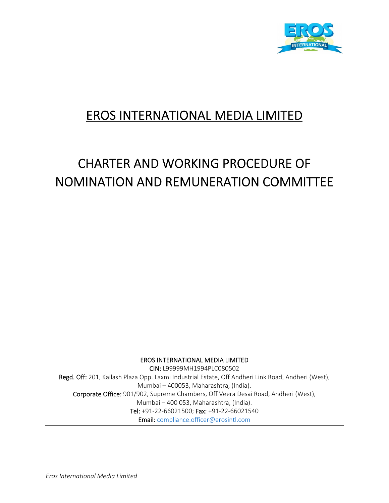

# EROS INTERNATIONAL MEDIA LIMITED

# CHARTER AND WORKING PROCEDURE OF NOMINATION AND REMUNERATION COMMITTEE

EROS INTERNATIONAL MEDIA LIMITED CIN: L99999MH1994PLC080502 Regd. Off: 201, Kailash Plaza Opp. Laxmi Industrial Estate, Off Andheri Link Road, Andheri (West), Mumbai – 400053, Maharashtra, (India). Corporate Office: 901/902, Supreme Chambers, Off Veera Desai Road, Andheri (West), Mumbai – 400 053, Maharashtra, (India). Tel: +91‐22‐66021500; Fax: +91‐22‐66021540 Email: compliance.officer@erosintl.com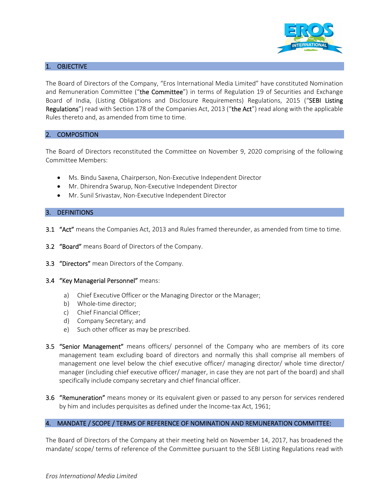

# 1. OBJECTIVE

The Board of Directors of the Company, "Eros International Media Limited" have constituted Nomination and Remuneration Committee ("the Committee") in terms of Regulation 19 of Securities and Exchange Board of India, (Listing Obligations and Disclosure Requirements) Regulations, 2015 ("SEBI Listing Regulations") read with Section 178 of the Companies Act, 2013 ("the Act") read along with the applicable Rules thereto and, as amended from time to time.

# 2. COMPOSITION

The Board of Directors reconstituted the Committee on November 9, 2020 comprising of the following Committee Members:

- Ms. Bindu Saxena, Chairperson, Non-Executive Independent Director
- Mr. Dhirendra Swarup, Non-Executive Independent Director
- Mr. Sunil Srivastav, Non-Executive Independent Director

# 3. DEFINITIONS

- 3.1 "Act" means the Companies Act, 2013 and Rules framed thereunder, as amended from time to time.
- 3.2 "Board" means Board of Directors of the Company.
- 3.3 "Directors" mean Directors of the Company.
- 3.4 "Key Managerial Personnel" means:
	- a) Chief Executive Officer or the Managing Director or the Manager;
	- b) Whole-time director;
	- c) Chief Financial Officer;
	- d) Company Secretary; and
	- e) Such other officer as may be prescribed.
- **3.5 "Senior Management"** means officers/ personnel of the Company who are members of its core management team excluding board of directors and normally this shall comprise all members of management one level below the chief executive officer/ managing director/ whole time director/ manager (including chief executive officer/ manager, in case they are not part of the board) and shall specifically include company secretary and chief financial officer.
- 3.6 "Remuneration" means money or its equivalent given or passed to any person for services rendered by him and includes perquisites as defined under the Income-tax Act, 1961;

# 4. MANDATE / SCOPE / TERMS OF REFERENCE OF NOMINATION AND REMUNERATION COMMITTEE:

The Board of Directors of the Company at their meeting held on November 14, 2017, has broadened the mandate/ scope/ terms of reference of the Committee pursuant to the SEBI Listing Regulations read with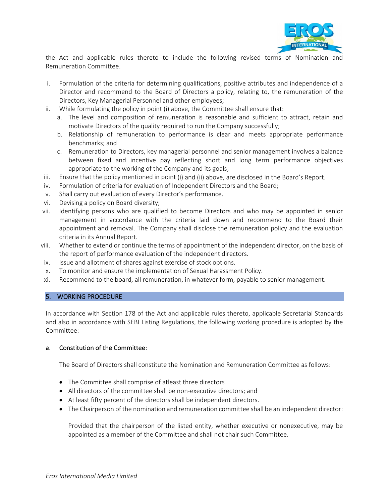

the Act and applicable rules thereto to include the following revised terms of Nomination and Remuneration Committee.

- i. Formulation of the criteria for determining qualifications, positive attributes and independence of a Director and recommend to the Board of Directors a policy, relating to, the remuneration of the Directors, Key Managerial Personnel and other employees;
- ii. While formulating the policy in point (i) above, the Committee shall ensure that:
	- a. The level and composition of remuneration is reasonable and sufficient to attract, retain and motivate Directors of the quality required to run the Company successfully;
	- b. Relationship of remuneration to performance is clear and meets appropriate performance benchmarks; and
	- c. Remuneration to Directors, key managerial personnel and senior management involves a balance between fixed and incentive pay reflecting short and long term performance objectives appropriate to the working of the Company and its goals;
- iii. Ensure that the policy mentioned in point (i) and (ii) above, are disclosed in the Board's Report.
- iv. Formulation of criteria for evaluation of Independent Directors and the Board;
- v. Shall carry out evaluation of every Director's performance.
- vi. Devising a policy on Board diversity;
- vii. Identifying persons who are qualified to become Directors and who may be appointed in senior management in accordance with the criteria laid down and recommend to the Board their appointment and removal. The Company shall disclose the remuneration policy and the evaluation criteria in its Annual Report.
- viii. Whether to extend or continue the terms of appointment of the independent director, on the basis of the report of performance evaluation of the independent directors.
- ix. Issue and allotment of shares against exercise of stock options.
- x. To monitor and ensure the implementation of Sexual Harassment Policy.
- xi. Recommend to the board, all remuneration, in whatever form, payable to senior management.

#### 5. WORKING PROCEDURE

In accordance with Section 178 of the Act and applicable rules thereto, applicable Secretarial Standards and also in accordance with SEBI Listing Regulations, the following working procedure is adopted by the Committee:

# a. Constitution of the Committee:

The Board of Directors shall constitute the Nomination and Remuneration Committee as follows:

- The Committee shall comprise of atleast three directors
- All directors of the committee shall be non-executive directors; and
- At least fifty percent of the directors shall be independent directors.
- The Chairperson of the nomination and remuneration committee shall be an independent director:

Provided that the chairperson of the listed entity, whether executive or nonexecutive, may be appointed as a member of the Committee and shall not chair such Committee.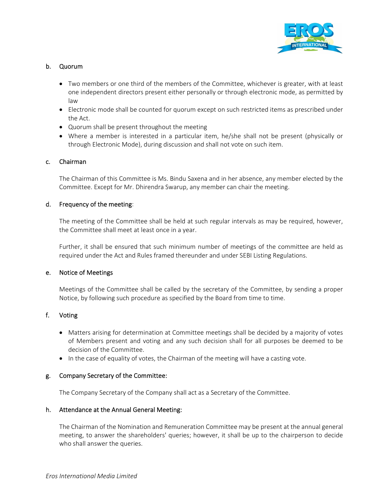

# b. Quorum

- Two members or one third of the members of the Committee, whichever is greater, with at least one independent directors present either personally or through electronic mode, as permitted by law
- Electronic mode shall be counted for quorum except on such restricted items as prescribed under the Act.
- Quorum shall be present throughout the meeting
- Where a member is interested in a particular item, he/she shall not be present (physically or through Electronic Mode), during discussion and shall not vote on such item.

# c. Chairman

The Chairman of this Committee is Ms. Bindu Saxena and in her absence, any member elected by the Committee. Except for Mr. Dhirendra Swarup, any member can chair the meeting.

# d. Frequency of the meeting:

The meeting of the Committee shall be held at such regular intervals as may be required, however, the Committee shall meet at least once in a year.

Further, it shall be ensured that such minimum number of meetings of the committee are held as required under the Act and Rules framed thereunder and under SEBI Listing Regulations.

# e. Notice of Meetings

Meetings of the Committee shall be called by the secretary of the Committee, by sending a proper Notice, by following such procedure as specified by the Board from time to time.

# f. Voting

- Matters arising for determination at Committee meetings shall be decided by a majority of votes of Members present and voting and any such decision shall for all purposes be deemed to be decision of the Committee.
- $\bullet$  In the case of equality of votes, the Chairman of the meeting will have a casting vote.

# g. Company Secretary of the Committee:

The Company Secretary of the Company shall act as a Secretary of the Committee.

# h. Attendance at the Annual General Meeting:

The Chairman of the Nomination and Remuneration Committee may be present at the annual general meeting, to answer the shareholders' queries; however, it shall be up to the chairperson to decide who shall answer the queries.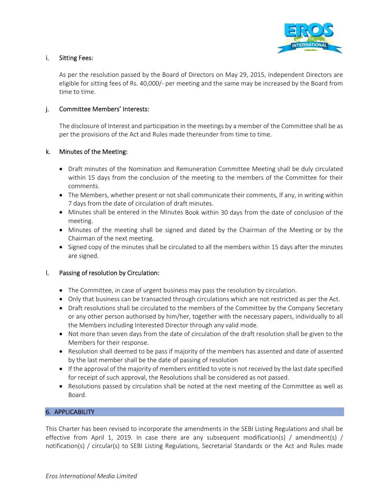

# i. Sitting Fees:

As per the resolution passed by the Board of Directors on May 29, 2015, Independent Directors are eligible for sitting fees of Rs. 40,000/‐ per meeting and the same may be increased by the Board from time to time.

# j. Committee Members' Interests:

The disclosure of Interest and participation in the meetings by a member of the Committee shall be as per the provisions of the Act and Rules made thereunder from time to time.

# k. Minutes of the Meeting:

- Draft minutes of the Nomination and Remuneration Committee Meeting shall be duly circulated within 15 days from the conclusion of the meeting to the members of the Committee for their comments.
- The Members, whether present or not shall communicate their comments, If any, in writing within 7 days from the date of circulation of draft minutes.
- Minutes shall be entered in the Minutes Book within 30 days from the date of conclusion of the meeting.
- Minutes of the meeting shall be signed and dated by the Chairman of the Meeting or by the Chairman of the next meeting.
- Signed copy of the minutes shall be circulated to all the members within 15 days after the minutes are signed.

# l. Passing of resolution by Circulation:

- The Committee, in case of urgent business may pass the resolution by circulation.
- Only that business can be transacted through circulations which are not restricted as per the Act.
- Draft resolutions shall be circulated to the members of the Committee by the Company Secretary or any other person authorised by him/her, together with the necessary papers, individually to all the Members including Interested Director through any valid mode.
- Not more than seven days from the date of circulation of the draft resolution shall be given to the Members for their response.
- Resolution shall deemed to be pass if majority of the members has assented and date of assented by the last member shall be the date of passing of resolution
- If the approval of the majority of members entitled to vote is not received by the last date specified for receipt of such approval, the Resolutions shall be considered as not passed.
- Resolutions passed by circulation shall be noted at the next meeting of the Committee as well as Board.

# 6. APPLICABILITY

This Charter has been revised to incorporate the amendments in the SEBI Listing Regulations and shall be effective from April 1, 2019. In case there are any subsequent modification(s) / amendment(s) / notification(s) / circular(s) to SEBI Listing Regulations, Secretarial Standards or the Act and Rules made